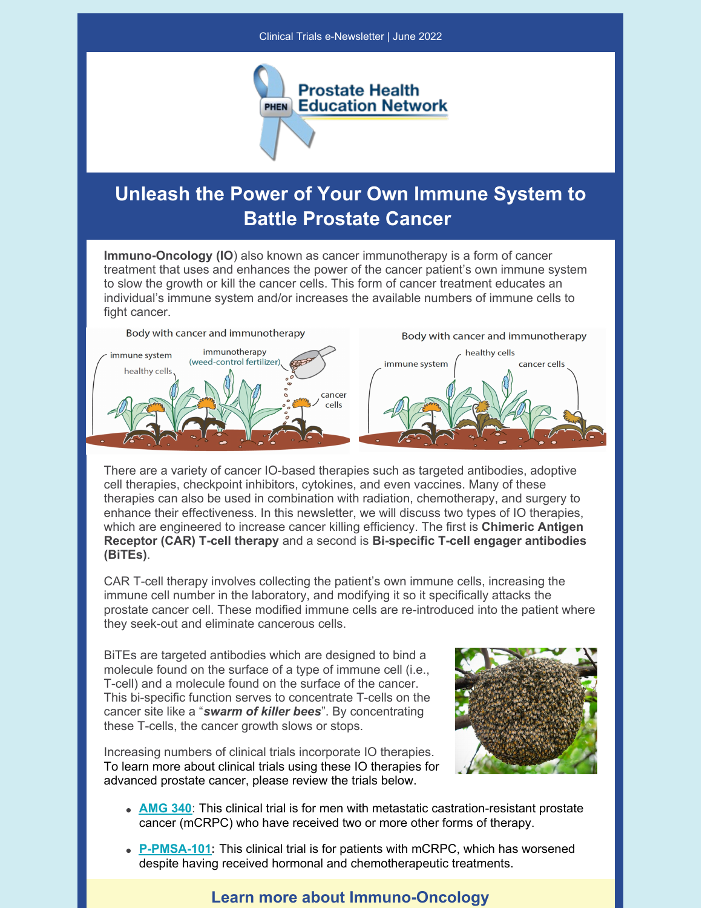

## **Unleash the Power of Your Own Immune System to Battle Prostate Cancer**

**Immuno-Oncology (IO**) also known as cancer immunotherapy is a form of cancer treatment that uses and enhances the power of the cancer patient's own immune system to slow the growth or kill the cancer cells. This form of cancer treatment educates an individual's immune system and/or increases the available numbers of immune cells to fight cancer.



There are a variety of cancer IO-based therapies such as targeted antibodies, adoptive cell therapies, checkpoint inhibitors, cytokines, and even vaccines. Many of these therapies can also be used in combination with radiation, chemotherapy, and surgery to enhance their effectiveness. In this newsletter, we will discuss two types of IO therapies, which are engineered to increase cancer killing efficiency. The first is **Chimeric Antigen Receptor (CAR) T-cell therapy** and a second is **Bi-specific T-cell engager antibodies (BiTEs)**.

CAR T-cell therapy involves collecting the patient's own immune cells, increasing the immune cell number in the laboratory, and modifying it so it specifically attacks the prostate cancer cell. These modified immune cells are re-introduced into the patient where they seek-out and eliminate cancerous cells.

BiTEs are targeted antibodies which are designed to bind a molecule found on the surface of a type of immune cell (i.e., T-cell) and a molecule found on the surface of the cancer. This bi-specific function serves to concentrate T-cells on the cancer site like a "*swarm of killer bees*". By concentrating these T-cells, the cancer growth slows or stops.

Increasing numbers of clinical trials incorporate IO therapies. To learn more about clinical trials using these IO therapies for advanced prostate cancer, please review the trials below.



- **[AMG](http://prostatehealthed.org/page.php?id=520) 340**: This clinical trial is for men with metastatic castration-resistant prostate cancer (mCRPC) who have received two or more other forms of therapy.
- **[P-PMSA-101](http://prostatehealthed.org/page.php?id=505):** This clinical trial is for patients with mCRPC, which has worsened despite having received hormonal and chemotherapeutic treatments.

## **Learn more about Immuno-Oncology**